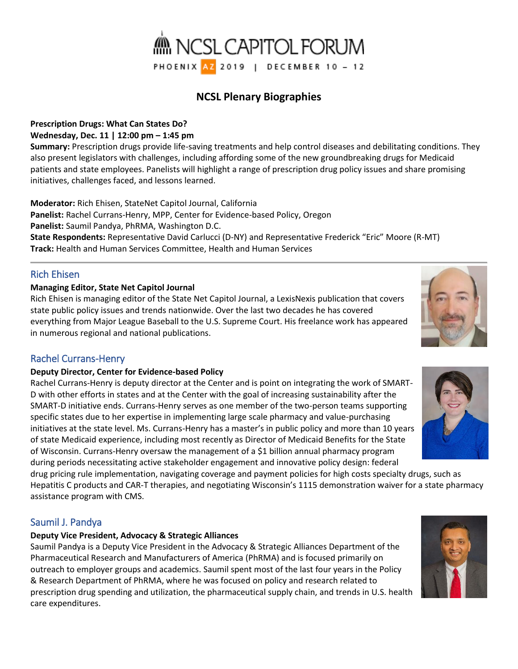# **NCSL Plenary Biographies**

#### **Prescription Drugs: What Can States Do?**

#### **Wednesday, Dec. 11 | 12:00 pm – 1:45 pm**

**Summary:** Prescription drugs provide life-saving treatments and help control diseases and debilitating conditions. They also present legislators with challenges, including affording some of the new groundbreaking drugs for Medicaid patients and state employees. Panelists will highlight a range of prescription drug policy issues and share promising initiatives, challenges faced, and lessons learned.

**Moderator:** Rich Ehisen, StateNet Capitol Journal, California **Panelist:** Rachel Currans-Henry, MPP, Center for Evidence-based Policy, Oregon **Panelist:** Saumil Pandya, PhRMA, Washington D.C. **State Respondents:** Representative David Carlucci (D-NY) and Representative Frederick "Eric" Moore (R-MT) **Track:** Health and Human Services Committee, Health and Human Services

## Rich Ehisen

#### **Managing Editor, State Net Capitol Journal**

Rich Ehisen is managing editor of the State Net Capitol Journal, a LexisNexis publication that covers state public policy issues and trends nationwide. Over the last two decades he has covered everything from Major League Baseball to the U.S. Supreme Court. His freelance work has appeared in numerous regional and national publications.

## Rachel Currans-Henry

#### **Deputy Director, Center for Evidence-based Policy**

Rachel Currans-Henry is deputy director at the Center and is point on integrating the work of SMART-D with other efforts in states and at the Center with the goal of increasing sustainability after the SMART-D initiative ends. Currans-Henry serves as one member of the two-person teams supporting specific states due to her expertise in implementing large scale pharmacy and value-purchasing initiatives at the state level. Ms. Currans-Henry has a master's in public policy and more than 10 years of state Medicaid experience, including most recently as Director of Medicaid Benefits for the State of Wisconsin. Currans-Henry oversaw the management of a \$1 billion annual pharmacy program during periods necessitating active stakeholder engagement and innovative policy design: federal

drug pricing rule implementation, navigating coverage and payment policies for high costs specialty drugs, such as Hepatitis C products and CAR-T therapies, and negotiating Wisconsin's 1115 demonstration waiver for a state pharmacy assistance program with CMS.

## Saumil J. Pandya

#### **Deputy Vice President, Advocacy & Strategic Alliances**

Saumil Pandya is a Deputy Vice President in the Advocacy & Strategic Alliances Department of the Pharmaceutical Research and Manufacturers of America (PhRMA) and is focused primarily on outreach to employer groups and academics. Saumil spent most of the last four years in the Policy & Research Department of PhRMA, where he was focused on policy and research related to prescription drug spending and utilization, the pharmaceutical supply chain, and trends in U.S. health care expenditures.